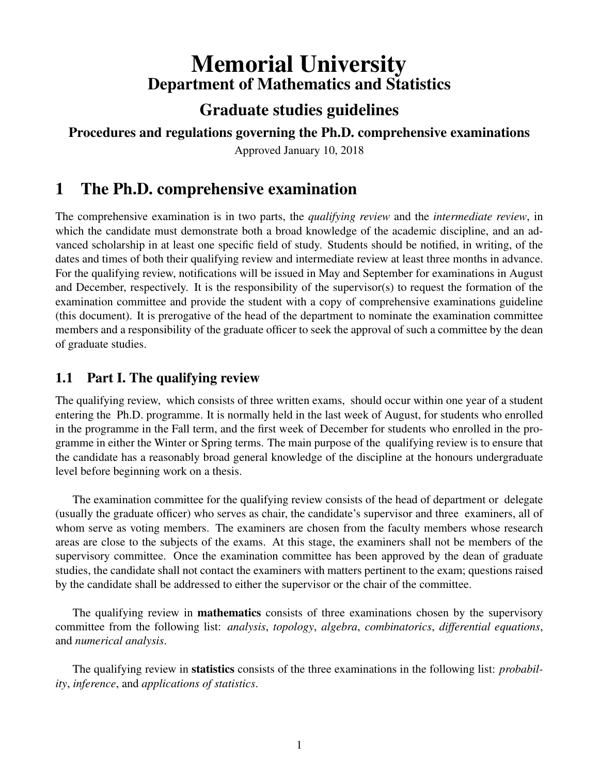# Memorial University Department of Mathematics and Statistics

## Graduate studies guidelines

#### Procedures and regulations governing the Ph.D. comprehensive examinations

Approved January 10, 2018

## 1 The Ph.D. comprehensive examination

The comprehensive examination is in two parts, the *qualifying review* and the *intermediate review*, in which the candidate must demonstrate both a broad knowledge of the academic discipline, and an advanced scholarship in at least one specific field of study. Students should be notified, in writing, of the dates and times of both their qualifying review and intermediate review at least three months in advance. For the qualifying review, notifications will be issued in May and September for examinations in August and December, respectively. It is the responsibility of the supervisor(s) to request the formation of the examination committee and provide the student with a copy of comprehensive examinations guideline (this document). It is prerogative of the head of the department to nominate the examination committee members and a responsibility of the graduate officer to seek the approval of such a committee by the dean of graduate studies.

### 1.1 Part I. The qualifying review

The qualifying review, which consists of three written exams, should occur within one year of a student entering the Ph.D. programme. It is normally held in the last week of August, for students who enrolled in the programme in the Fall term, and the first week of December for students who enrolled in the programme in either the Winter or Spring terms. The main purpose of the qualifying review is to ensure that the candidate has a reasonably broad general knowledge of the discipline at the honours undergraduate level before beginning work on a thesis.

The examination committee for the qualifying review consists of the head of department or delegate (usually the graduate officer) who serves as chair, the candidate's supervisor and three examiners, all of whom serve as voting members. The examiners are chosen from the faculty members whose research areas are close to the subjects of the exams. At this stage, the examiners shall not be members of the supervisory committee. Once the examination committee has been approved by the dean of graduate studies, the candidate shall not contact the examiners with matters pertinent to the exam; questions raised by the candidate shall be addressed to either the supervisor or the chair of the committee.

The qualifying review in **mathematics** consists of three examinations chosen by the supervisory committee from the following list: *analysis*, *topology*, *algebra*, *combinatorics*, *differential equations*, and *numerical analysis*.

The qualifying review in statistics consists of the three examinations in the following list: *probability*, *inference*, and *applications of statistics*.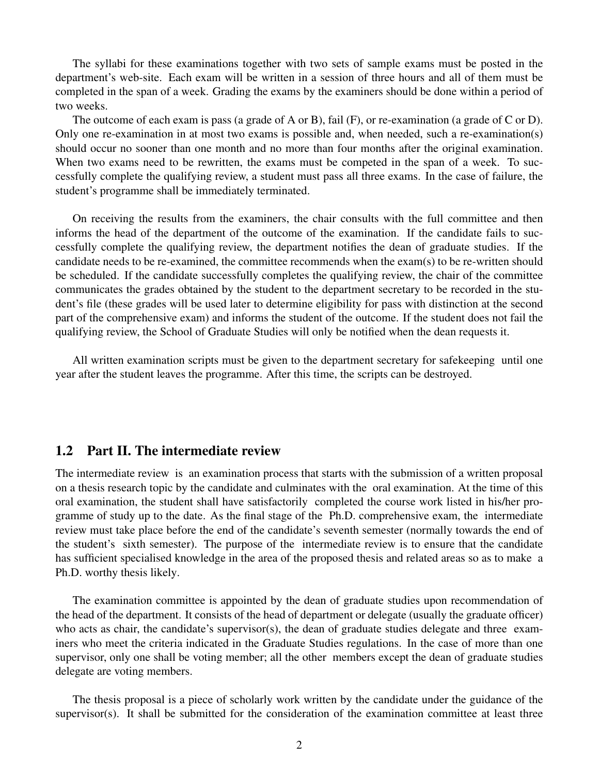The syllabi for these examinations together with two sets of sample exams must be posted in the department's web-site. Each exam will be written in a session of three hours and all of them must be completed in the span of a week. Grading the exams by the examiners should be done within a period of two weeks.

The outcome of each exam is pass (a grade of A or B), fail (F), or re-examination (a grade of C or D). Only one re-examination in at most two exams is possible and, when needed, such a re-examination(s) should occur no sooner than one month and no more than four months after the original examination. When two exams need to be rewritten, the exams must be competed in the span of a week. To successfully complete the qualifying review, a student must pass all three exams. In the case of failure, the student's programme shall be immediately terminated.

On receiving the results from the examiners, the chair consults with the full committee and then informs the head of the department of the outcome of the examination. If the candidate fails to successfully complete the qualifying review, the department notifies the dean of graduate studies. If the candidate needs to be re-examined, the committee recommends when the exam(s) to be re-written should be scheduled. If the candidate successfully completes the qualifying review, the chair of the committee communicates the grades obtained by the student to the department secretary to be recorded in the student's file (these grades will be used later to determine eligibility for pass with distinction at the second part of the comprehensive exam) and informs the student of the outcome. If the student does not fail the qualifying review, the School of Graduate Studies will only be notified when the dean requests it.

All written examination scripts must be given to the department secretary for safekeeping until one year after the student leaves the programme. After this time, the scripts can be destroyed.

#### 1.2 Part II. The intermediate review

The intermediate review is an examination process that starts with the submission of a written proposal on a thesis research topic by the candidate and culminates with the oral examination. At the time of this oral examination, the student shall have satisfactorily completed the course work listed in his/her programme of study up to the date. As the final stage of the Ph.D. comprehensive exam, the intermediate review must take place before the end of the candidate's seventh semester (normally towards the end of the student's sixth semester). The purpose of the intermediate review is to ensure that the candidate has sufficient specialised knowledge in the area of the proposed thesis and related areas so as to make a Ph.D. worthy thesis likely.

The examination committee is appointed by the dean of graduate studies upon recommendation of the head of the department. It consists of the head of department or delegate (usually the graduate officer) who acts as chair, the candidate's supervisor(s), the dean of graduate studies delegate and three examiners who meet the criteria indicated in the Graduate Studies regulations. In the case of more than one supervisor, only one shall be voting member; all the other members except the dean of graduate studies delegate are voting members.

The thesis proposal is a piece of scholarly work written by the candidate under the guidance of the supervisor(s). It shall be submitted for the consideration of the examination committee at least three